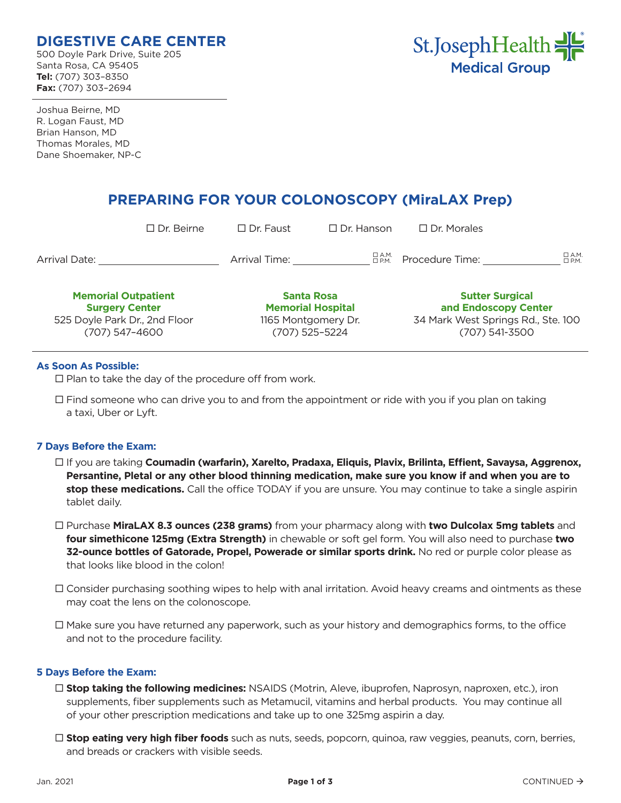# **DIGESTIVE CARE CENTER**

500 Doyle Park Drive, Suite 205 Santa Rosa, CA 95405 **Tel:** (707) 303–8350 **Fax:** (707) 303–2694



Joshua Beirne, MD R. Logan Faust, MD Brian Hanson, MD Thomas Morales, MD Dane Shoemaker, NP-C

# **PREPARING FOR YOUR COLONOSCOPY (MiraLAX Prep)**

| <b>Memorial Outpatient</b><br><b>Surgery Center</b> |                   | <b>Santa Rosa</b><br><b>Memorial Hospital</b> |                   | <b>Sutter Surgical</b><br>and Endoscopy Center |                    |
|-----------------------------------------------------|-------------------|-----------------------------------------------|-------------------|------------------------------------------------|--------------------|
| <b>Arrival Date:</b>                                |                   | Arrival Time:                                 | □ А.М.<br>□ Р.М.  | Procedure Time:                                | $\Box$ A.M.<br>DPM |
|                                                     | $\Box$ Dr. Beirne | $\Box$ Dr. Faust                              | $\Box$ Dr. Hanson | $\Box$ Dr. Morales                             |                    |

525 Doyle Park Dr., 2nd Floor (707) 547–4600

**Memorial Hospital** 1165 Montgomery Dr. (707) 525–5224

**and Endoscopy Center** 34 Mark West Springs Rd., Ste. 100 (707) 541-3500

#### **As Soon As Possible:**

 $\square$  Plan to take the day of the procedure off from work.

 $\Box$  Find someone who can drive you to and from the appointment or ride with you if you plan on taking a taxi, Uber or Lyft.

## **7 Days Before the Exam:**

- If you are taking **Coumadin (warfarin), Xarelto, Pradaxa, Eliquis, Plavix, Brilinta, Effient, Savaysa, Aggrenox, Persantine, Pletal or any other blood thinning medication, make sure you know if and when you are to stop these medications.** Call the office TODAY if you are unsure. You may continue to take a single aspirin tablet daily.
- Purchase **MiraLAX 8.3 ounces (238 grams)** from your pharmacy along with **two Dulcolax 5mg tablets** and **four simethicone 125mg (Extra Strength)** in chewable or soft gel form. You will also need to purchase **two 32-ounce bottles of Gatorade, Propel, Powerade or similar sports drink.** No red or purple color please as that looks like blood in the colon!
- $\Box$  Consider purchasing soothing wipes to help with anal irritation. Avoid heavy creams and ointments as these may coat the lens on the colonoscope.
- $\Box$  Make sure you have returned any paperwork, such as your history and demographics forms, to the office and not to the procedure facility.

#### **5 Days Before the Exam:**

- **Stop taking the following medicines:** NSAIDS (Motrin, Aleve, ibuprofen, Naprosyn, naproxen, etc.), iron supplements, fiber supplements such as Metamucil, vitamins and herbal products. You may continue all of your other prescription medications and take up to one 325mg aspirin a day.
- **Stop eating very high fiber foods** such as nuts, seeds, popcorn, quinoa, raw veggies, peanuts, corn, berries, and breads or crackers with visible seeds.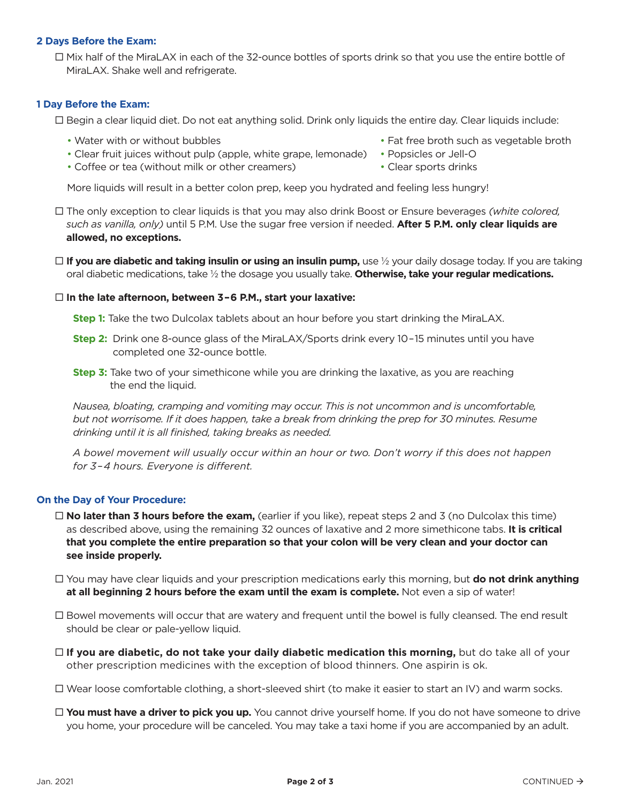#### **2 Days Before the Exam:**

 Mix half of the MiraLAX in each of the 32-ounce bottles of sports drink so that you use the entire bottle of MiraLAX. Shake well and refrigerate.

#### **1 Day Before the Exam:**

Begin a clear liquid diet. Do not eat anything solid. Drink only liquids the entire day. Clear liquids include:

- 
- Clear fruit juices without pulp (apple, white grape, lemonade) Popsicles or Jell-O
- Coffee or tea (without milk or other creamers) Clear sports drinks
- Water with or without bubbles **•** Fat free broth such as vegetable broth
	-
	-

More liquids will result in a better colon prep, keep you hydrated and feeling less hungry!

 The only exception to clear liquids is that you may also drink Boost or Ensure beverages *(white colored, such as vanilla, only)* until 5 P.M. Use the sugar free version if needed. **After 5 P.M. only clear liquids are allowed, no exceptions.**

□ **If you are diabetic and taking insulin or using an insulin pump,** use ½ your daily dosage today. If you are taking oral diabetic medications, take ½ the dosage you usually take. **Otherwise, take your regular medications.**

#### **In the late afternoon, between 3–6 P.M., start your laxative:**

**Step 1:** Take the two Dulcolax tablets about an hour before you start drinking the MiraLAX.

- **Step 2:** Drink one 8-ounce glass of the MiraLAX/Sports drink every 10–15 minutes until you have completed one 32-ounce bottle.
- **Step 3:** Take two of your simethicone while you are drinking the laxative, as you are reaching the end the liquid.

*Nausea, bloating, cramping and vomiting may occur. This is not uncommon and is uncomfortable, but not worrisome. If it does happen, take a break from drinking the prep for 30 minutes. Resume drinking until it is all finished, taking breaks as needed.*

*A bowel movement will usually occur within an hour or two. Don't worry if this does not happen for 3–4 hours. Everyone is different.*

#### **On the Day of Your Procedure:**

- $\Box$  **No later than 3 hours before the exam,** (earlier if you like), repeat steps 2 and 3 (no Dulcolax this time) as described above, using the remaining 32 ounces of laxative and 2 more simethicone tabs. **It is critical that you complete the entire preparation so that your colon will be very clean and your doctor can see inside properly.**
- You may have clear liquids and your prescription medications early this morning, but **do not drink anything at all beginning 2 hours before the exam until the exam is complete.** Not even a sip of water!
- $\Box$  Bowel movements will occur that are watery and frequent until the bowel is fully cleansed. The end result should be clear or pale-yellow liquid.
- □ If you are diabetic, do not take your daily diabetic medication this morning, but do take all of your other prescription medicines with the exception of blood thinners. One aspirin is ok.
- $\Box$  Wear loose comfortable clothing, a short-sleeved shirt (to make it easier to start an IV) and warm socks.
- **You must have a driver to pick you up.** You cannot drive yourself home. If you do not have someone to drive you home, your procedure will be canceled. You may take a taxi home if you are accompanied by an adult.